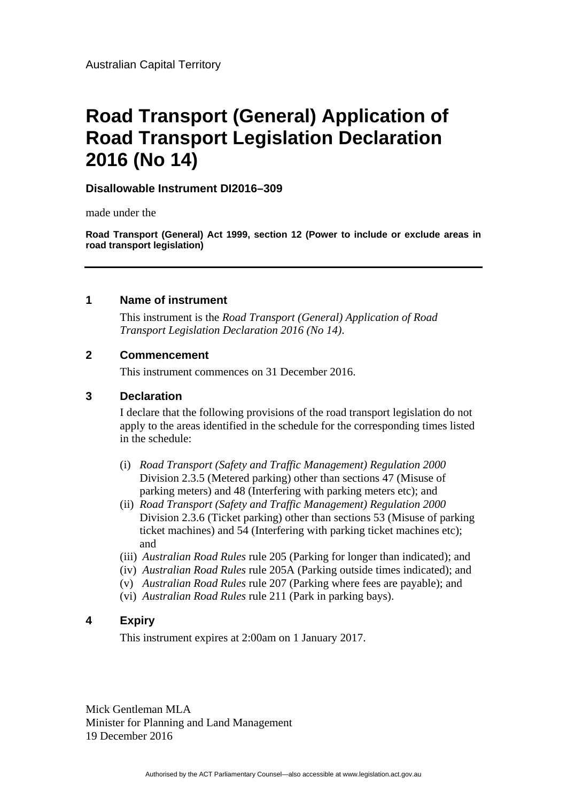# **Road Transport (General) Application of Road Transport Legislation Declaration 2016 (No 14)**

## **Disallowable Instrument DI2016–309**

made under the

**Road Transport (General) Act 1999, section 12 (Power to include or exclude areas in road transport legislation)** 

#### **1 Name of instrument**

This instrument is the *Road Transport (General) Application of Road Transport Legislation Declaration 2016 (No 14)*.

#### **2 Commencement**

This instrument commences on 31 December 2016.

### **3 Declaration**

I declare that the following provisions of the road transport legislation do not apply to the areas identified in the schedule for the corresponding times listed in the schedule:

- (i) *Road Transport (Safety and Traffic Management) Regulation 2000*  Division 2.3.5 (Metered parking) other than sections 47 (Misuse of parking meters) and 48 (Interfering with parking meters etc); and
- (ii) *Road Transport (Safety and Traffic Management) Regulation 2000* Division 2.3.6 (Ticket parking) other than sections 53 (Misuse of parking ticket machines) and 54 (Interfering with parking ticket machines etc); and
- (iii) *Australian Road Rules* rule 205 (Parking for longer than indicated); and
- (iv) *Australian Road Rules* rule 205A (Parking outside times indicated); and
- (v) *Australian Road Rules* rule 207 (Parking where fees are payable); and
- (vi) *Australian Road Rules* rule 211 (Park in parking bays).

## **4 Expiry**

This instrument expires at 2:00am on 1 January 2017.

Mick Gentleman MLA Minister for Planning and Land Management 19 December 2016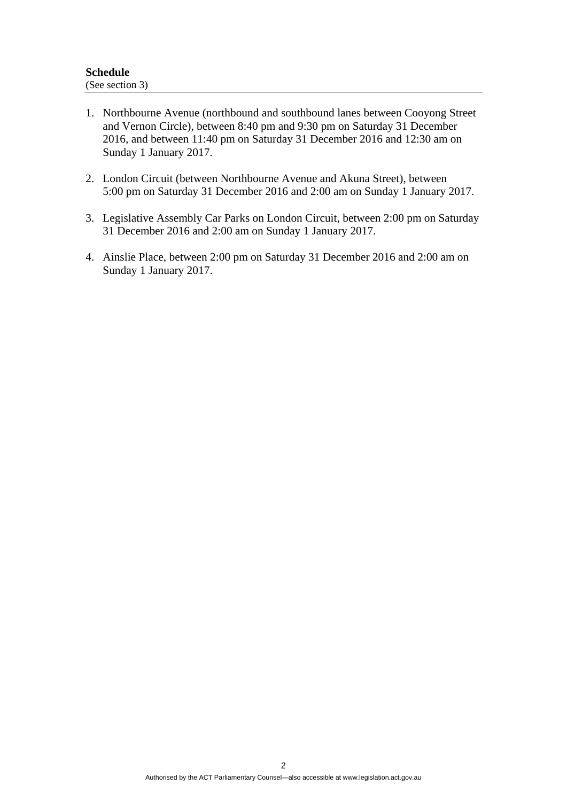- 1. Northbourne Avenue (northbound and southbound lanes between Cooyong Street and Vernon Circle), between 8:40 pm and 9:30 pm on Saturday 31 December 2016, and between 11:40 pm on Saturday 31 December 2016 and 12:30 am on Sunday 1 January 2017.
- 2. London Circuit (between Northbourne Avenue and Akuna Street), between 5:00 pm on Saturday 31 December 2016 and 2:00 am on Sunday 1 January 2017.
- 3. Legislative Assembly Car Parks on London Circuit, between 2:00 pm on Saturday 31 December 2016 and 2:00 am on Sunday 1 January 2017.
- 4. Ainslie Place, between 2:00 pm on Saturday 31 December 2016 and 2:00 am on Sunday 1 January 2017.